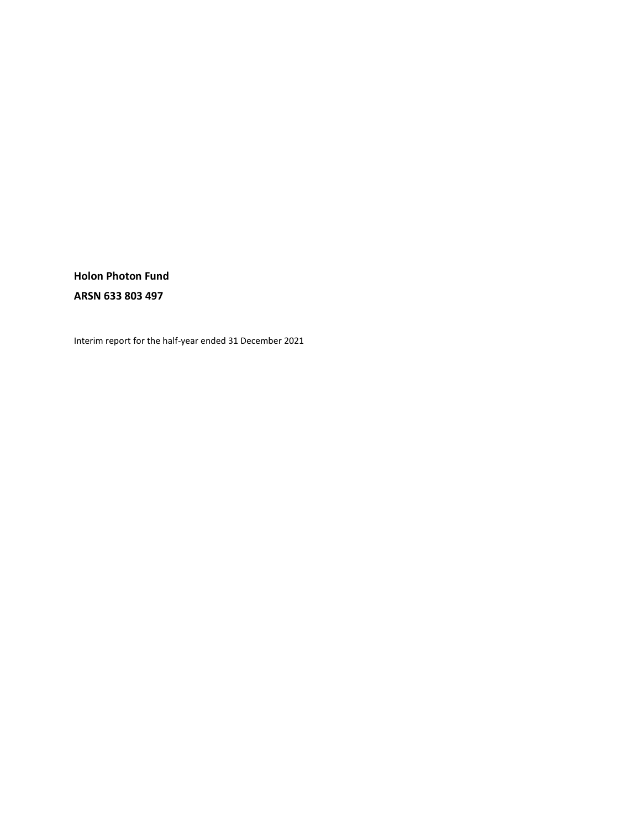**Holon Photon Fund ARSN 633 803 497** 

Interim report for the half-year ended 31 December 2021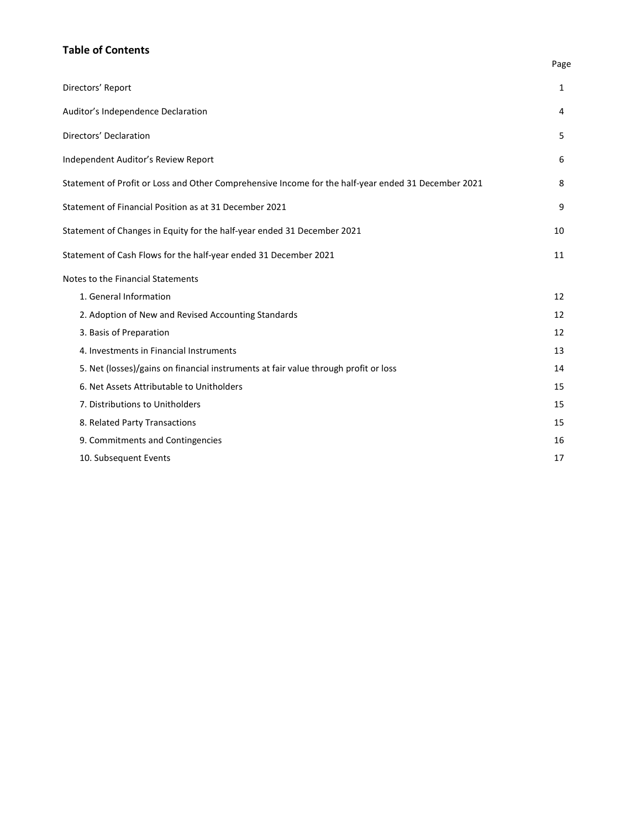# **Table of Contents**

| Directors' Report                                                                                   | 1  |
|-----------------------------------------------------------------------------------------------------|----|
| Auditor's Independence Declaration                                                                  | 4  |
| Directors' Declaration                                                                              | 5  |
| Independent Auditor's Review Report                                                                 | 6  |
| Statement of Profit or Loss and Other Comprehensive Income for the half-year ended 31 December 2021 | 8  |
| Statement of Financial Position as at 31 December 2021                                              | 9  |
| Statement of Changes in Equity for the half-year ended 31 December 2021                             | 10 |
| Statement of Cash Flows for the half-year ended 31 December 2021                                    | 11 |
| Notes to the Financial Statements                                                                   |    |
| 1. General Information                                                                              | 12 |
| 2. Adoption of New and Revised Accounting Standards                                                 | 12 |
| 3. Basis of Preparation                                                                             | 12 |
| 4. Investments in Financial Instruments                                                             | 13 |
| 5. Net (losses)/gains on financial instruments at fair value through profit or loss                 | 14 |
| 6. Net Assets Attributable to Unitholders                                                           | 15 |
| 7. Distributions to Unitholders                                                                     | 15 |
| 8. Related Party Transactions                                                                       | 15 |
| 9. Commitments and Contingencies                                                                    | 16 |
| 10. Subsequent Events                                                                               | 17 |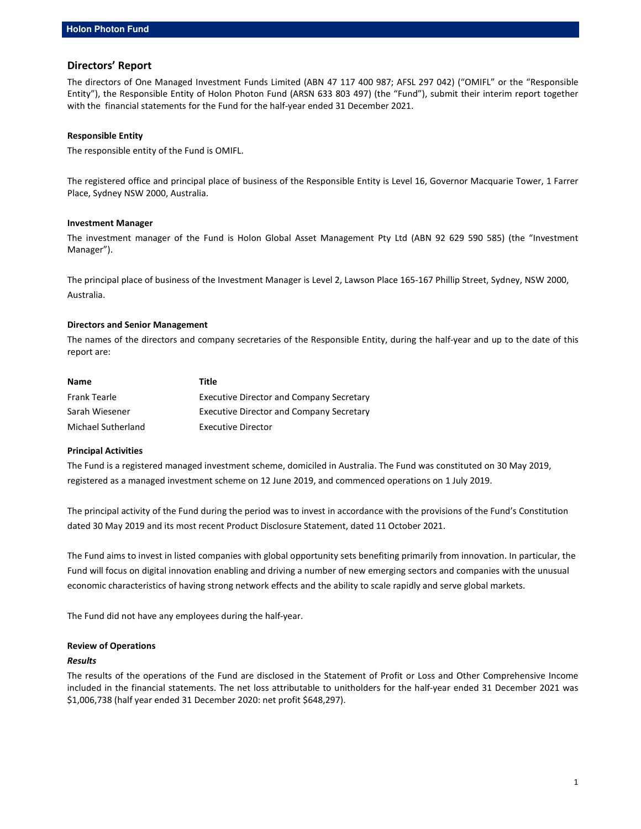### **Directors' Report**

The directors of One Managed Investment Funds Limited (ABN 47 117 400 987; AFSL 297 042) ("OMIFL" or the "Responsible Entity"), the Responsible Entity of Holon Photon Fund (ARSN 633 803 497) (the "Fund"), submit their interim report together with the financial statements for the Fund for the half-year ended 31 December 2021.

#### **Responsible Entity**

The responsible entity of the Fund is OMIFL.

The registered office and principal place of business of the Responsible Entity is Level 16, Governor Macquarie Tower, 1 Farrer Place, Sydney NSW 2000, Australia.

#### **Investment Manager**

The investment manager of the Fund is Holon Global Asset Management Pty Ltd (ABN 92 629 590 585) (the "Investment Manager").

The principal place of business of the Investment Manager is Level 2, Lawson Place 165-167 Phillip Street, Sydney, NSW 2000, Australia.

#### **Directors and Senior Management**

The names of the directors and company secretaries of the Responsible Entity, during the half-year and up to the date of this report are:

| Name               | Title                                           |
|--------------------|-------------------------------------------------|
| Frank Tearle       | <b>Executive Director and Company Secretary</b> |
| Sarah Wiesener     | <b>Executive Director and Company Secretary</b> |
| Michael Sutherland | Executive Director                              |

#### **Principal Activities**

The Fund is a registered managed investment scheme, domiciled in Australia. The Fund was constituted on 30 May 2019, registered as a managed investment scheme on 12 June 2019, and commenced operations on 1 July 2019.

The principal activity of the Fund during the period was to invest in accordance with the provisions of the Fund's Constitution dated 30 May 2019 and its most recent Product Disclosure Statement, dated 11 October 2021.

The Fund aims to invest in listed companies with global opportunity sets benefiting primarily from innovation. In particular, the Fund will focus on digital innovation enabling and driving a number of new emerging sectors and companies with the unusual economic characteristics of having strong network effects and the ability to scale rapidly and serve global markets.

The Fund did not have any employees during the half-year.

#### **Review of Operations**

#### *Results*

The results of the operations of the Fund are disclosed in the Statement of Profit or Loss and Other Comprehensive Income included in the financial statements. The net loss attributable to unitholders for the half-year ended 31 December 2021 was \$1,006,738 (half year ended 31 December 2020: net profit \$648,297).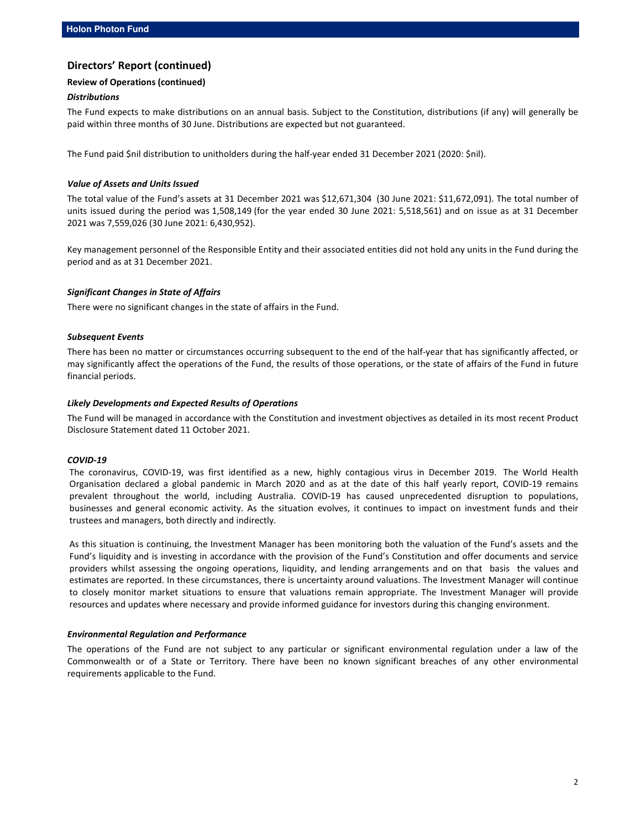# **Directors' Report (continued)**

### **Review of Operations (continued)**

#### *Distributions*

The Fund expects to make distributions on an annual basis. Subject to the Constitution, distributions (if any) will generally be paid within three months of 30 June. Distributions are expected but not guaranteed.

The Fund paid \$nil distribution to unitholders during the half-year ended 31 December 2021 (2020: \$nil).

#### *Value of Assets and Units Issued*

The total value of the Fund's assets at 31 December 2021 was \$12,671,304 (30 June 2021: \$11,672,091). The total number of units issued during the period was 1,508,149 (for the year ended 30 June 2021: 5,518,561) and on issue as at 31 December 2021 was 7,559,026 (30 June 2021: 6,430,952).

Key management personnel of the Responsible Entity and their associated entities did not hold any units in the Fund during the period and as at 31 December 2021.

#### *Significant Changes in State of Affairs*

There were no significant changes in the state of affairs in the Fund.

#### *Subsequent Events*

There has been no matter or circumstances occurring subsequent to the end of the half-year that has significantly affected, or may significantly affect the operations of the Fund, the results of those operations, or the state of affairs of the Fund in future financial periods.

#### *Likely Developments and Expected Results of Operations*

The Fund will be managed in accordance with the Constitution and investment objectives as detailed in its most recent Product Disclosure Statement dated 11 October 2021.

#### *COVID-19*

The coronavirus, COVID-19, was first identified as a new, highly contagious virus in December 2019. The World Health Organisation declared a global pandemic in March 2020 and as at the date of this half yearly report, COVID-19 remains prevalent throughout the world, including Australia. COVID-19 has caused unprecedented disruption to populations, businesses and general economic activity. As the situation evolves, it continues to impact on investment funds and their trustees and managers, both directly and indirectly.

As this situation is continuing, the Investment Manager has been monitoring both the valuation of the Fund's assets and the Fund's liquidity and is investing in accordance with the provision of the Fund's Constitution and offer documents and service providers whilst assessing the ongoing operations, liquidity, and lending arrangements and on that basis the values and estimates are reported. In these circumstances, there is uncertainty around valuations. The Investment Manager will continue to closely monitor market situations to ensure that valuations remain appropriate. The Investment Manager will provide resources and updates where necessary and provide informed guidance for investors during this changing environment.

#### *Environmental Regulation and Performance*

The operations of the Fund are not subject to any particular or significant environmental regulation under a law of the Commonwealth or of a State or Territory. There have been no known significant breaches of any other environmental requirements applicable to the Fund.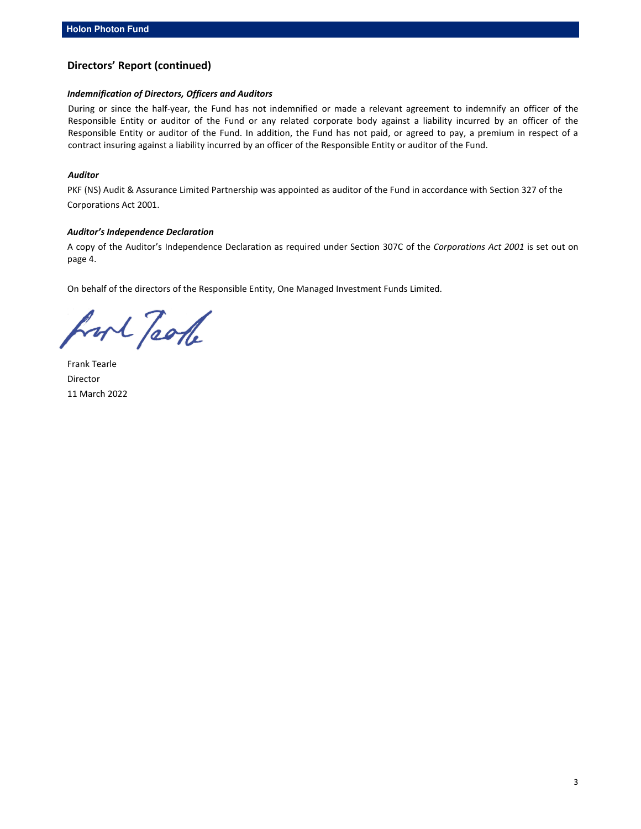# **Directors' Report (continued)**

#### *Indemnification of Directors, Officers and Auditors*

During or since the half-year, the Fund has not indemnified or made a relevant agreement to indemnify an officer of the Responsible Entity or auditor of the Fund or any related corporate body against a liability incurred by an officer of the Responsible Entity or auditor of the Fund. In addition, the Fund has not paid, or agreed to pay, a premium in respect of a contract insuring against a liability incurred by an officer of the Responsible Entity or auditor of the Fund.

#### *Auditor*

PKF (NS) Audit & Assurance Limited Partnership was appointed as auditor of the Fund in accordance with Section 327 of the Corporations Act 2001.

#### *Auditor's Independence Declaration*

A copy of the Auditor's Independence Declaration as required under Section 307C of the *Corporations Act 2001* is set out on page 4.

On behalf of the directors of the Responsible Entity, One Managed Investment Funds Limited.

hort Jaok

Frank Tearle Director 11 March 2022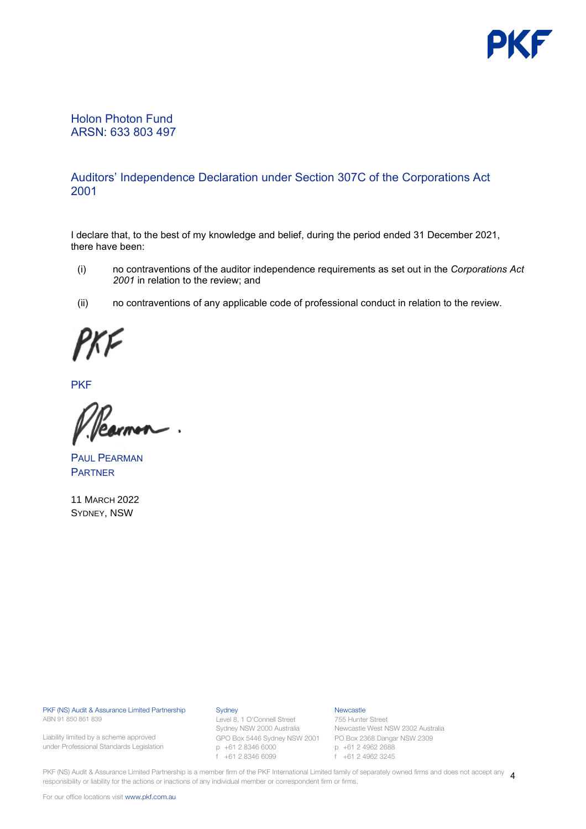

# Holon Photon Fund ARSN: 633 803 497

# Auditors' Independence Declaration under Section 307C of the Corporations Act 2001

I declare that, to the best of my knowledge and belief, during the period ended 31 December 2021, there have been:

- (i) no contraventions of the auditor independence requirements as set out in the *Corporations Act 2001* in relation to the review; and
- (ii) no contraventions of any applicable code of professional conduct in relation to the review.

**PKF** 

PAUL PEARMAN **PARTNER** 

11 MARCH 2022 SYDNEY, NSW

PKF (NS) Audit & Assurance Limited Partnership ABN 91 850 861 839

Liability limited by a scheme approved under Professional Standards Legislation

#### **Sydney**

Level 8, 1 O'Connell Street Sydney NSW 2000 Australia GPO Box 5446 Sydney NSW 2001 PO Box 2368 Dangar NSW 2309 p +61 2 8346 6000 f +61 2 8346 6099

### Newcastle

755 Hunter Street Newcastle West NSW 2302 Australia p +61 2 4962 2688 f +61 2 4962 3245

PKF (NS) Audit & Assurance Limited Partnership is a member firm of the PKF International Limited family of separately owned firms and does not accept any  $\,$  4 responsibility or liability for the actions or inactions of any individual member or correspondent firm or firms.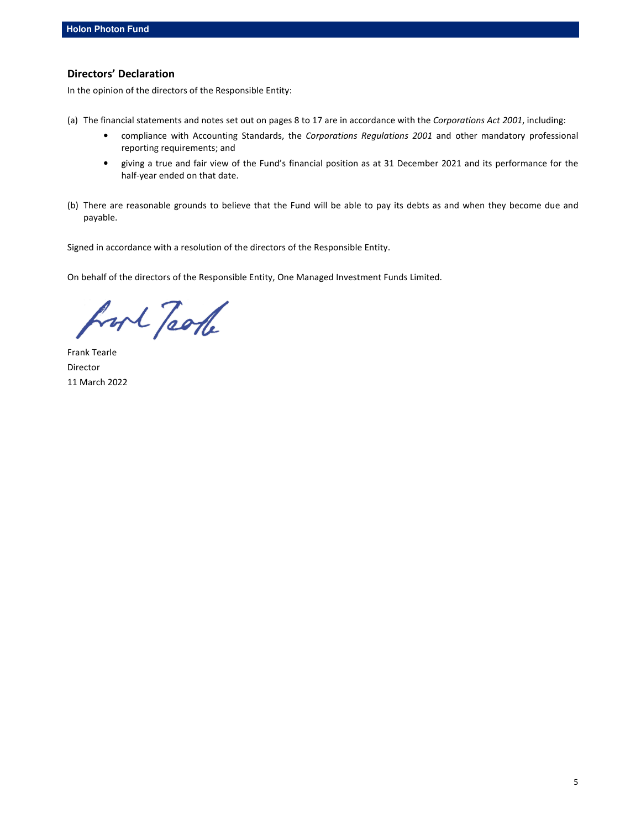# **Directors' Declaration**

In the opinion of the directors of the Responsible Entity:

- (a) The financial statements and notes set out on pages 8 to 17 are in accordance with the *Corporations Act 2001*, including:
	- compliance with Accounting Standards, the *Corporations Regulations 2001* and other mandatory professional reporting requirements; and
	- giving a true and fair view of the Fund's financial position as at 31 December 2021 and its performance for the half-year ended on that date.
- (b) There are reasonable grounds to believe that the Fund will be able to pay its debts as and when they become due and payable.

Signed in accordance with a resolution of the directors of the Responsible Entity.

On behalf of the directors of the Responsible Entity, One Managed Investment Funds Limited.

hort Jaok

Frank Tearle Director 11 March 2022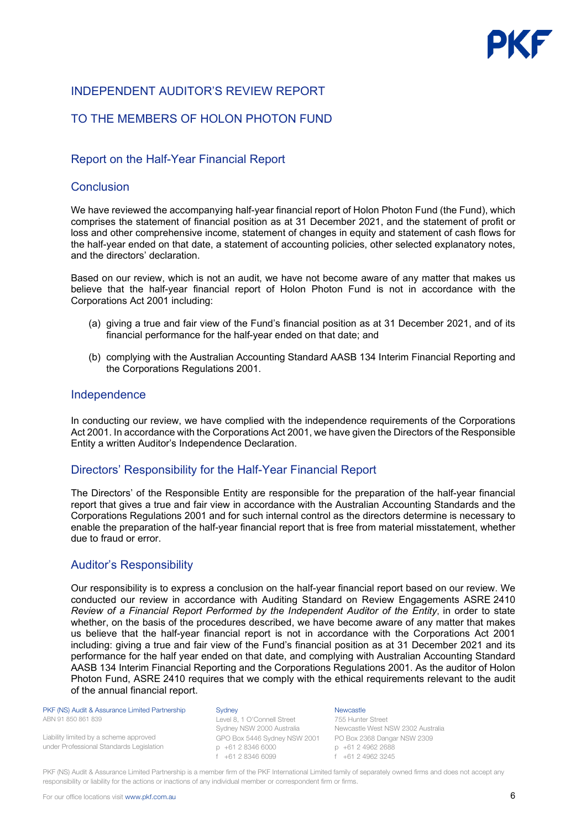# INDEPENDENT AUDITOR'S REVIEW REPORT

# TO THE MEMBERS OF HOLON PHOTON FUND

# Report on the Half-Year Financial Report

# **Conclusion**

We have reviewed the accompanying half-year financial report of Holon Photon Fund (the Fund), which comprises the statement of financial position as at 31 December 2021, and the statement of profit or loss and other comprehensive income, statement of changes in equity and statement of cash flows for the half-year ended on that date, a statement of accounting policies, other selected explanatory notes, and the directors' declaration.

Based on our review, which is not an audit, we have not become aware of any matter that makes us believe that the half-year financial report of Holon Photon Fund is not in accordance with the Corporations Act 2001 including:

- (a) giving a true and fair view of the Fund's financial position as at 31 December 2021, and of its financial performance for the half-year ended on that date; and
- (b) complying with the Australian Accounting Standard AASB 134 Interim Financial Reporting and the Corporations Regulations 2001.

# Independence

In conducting our review, we have complied with the independence requirements of the Corporations Act 2001. In accordance with the Corporations Act 2001, we have given the Directors of the Responsible Entity a written Auditor's Independence Declaration.

# Directors' Responsibility for the Half-Year Financial Report

The Directors' of the Responsible Entity are responsible for the preparation of the half-year financial report that gives a true and fair view in accordance with the Australian Accounting Standards and the Corporations Regulations 2001 and for such internal control as the directors determine is necessary to enable the preparation of the half-year financial report that is free from material misstatement, whether due to fraud or error.

# Auditor's Responsibility

Our responsibility is to express a conclusion on the half-year financial report based on our review. We conducted our review in accordance with Auditing Standard on Review Engagements ASRE 2410 *Review of a Financial Report Performed by the Independent Auditor of the Entity*, in order to state whether, on the basis of the procedures described, we have become aware of any matter that makes us believe that the half-year financial report is not in accordance with the Corporations Act 2001 including: giving a true and fair view of the Fund's financial position as at 31 December 2021 and its performance for the half year ended on that date, and complying with Australian Accounting Standard AASB 134 Interim Financial Reporting and the Corporations Regulations 2001. As the auditor of Holon Photon Fund, ASRE 2410 requires that we comply with the ethical requirements relevant to the audit of the annual financial report.

 PKF (NS) Audit & Assurance Limited Partnership ABN 91 850 861 839

Liability limited by a scheme approved under Professional Standards Legislation **Sydney** 

Level 8, 1 O'Connell Street Sydney NSW 2000 Australia GPO Box 5446 Sydney NSW 2001 PO Box 2368 Dangar NSW 2309 p +61 2 8346 6000 f +61 2 8346 6099

**Newcastle** 755 Hunter Street Newcastle West NSW 2302 Australia p +61 2 4962 2688 f +61 2 4962 3245

PKF (NS) Audit & Assurance Limited Partnership is a member firm of the PKF International Limited family of separately owned firms and does not accept any responsibility or liability for the actions or inactions of any individual member or correspondent firm or firms.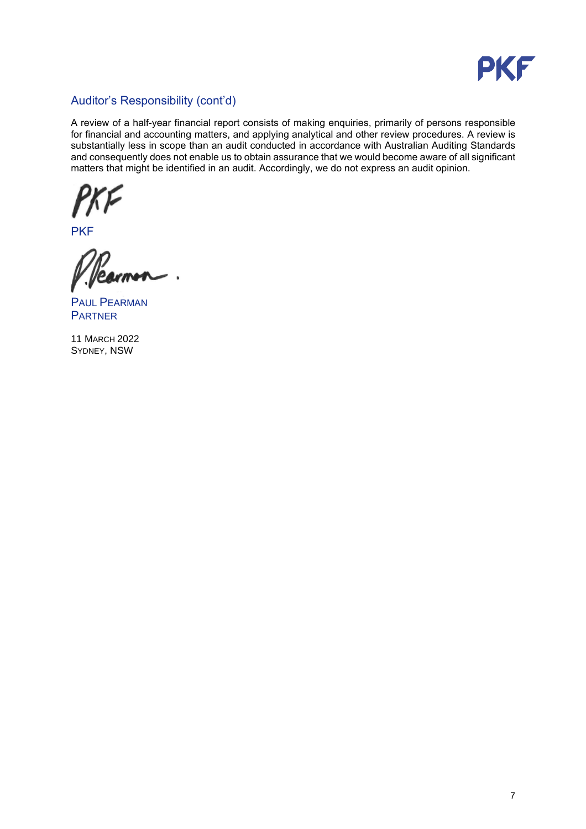

# Auditor's Responsibility (cont'd)

A review of a half-year financial report consists of making enquiries, primarily of persons responsible for financial and accounting matters, and applying analytical and other review procedures. A review is substantially less in scope than an audit conducted in accordance with Australian Auditing Standards and consequently does not enable us to obtain assurance that we would become aware of all significant matters that might be identified in an audit. Accordingly, we do not express an audit opinion.

**PKF** 

 $\ddot{\phantom{1}}$ 

PAUL PEARMAN **PARTNER** 

11 MARCH 2022 SYDNEY, NSW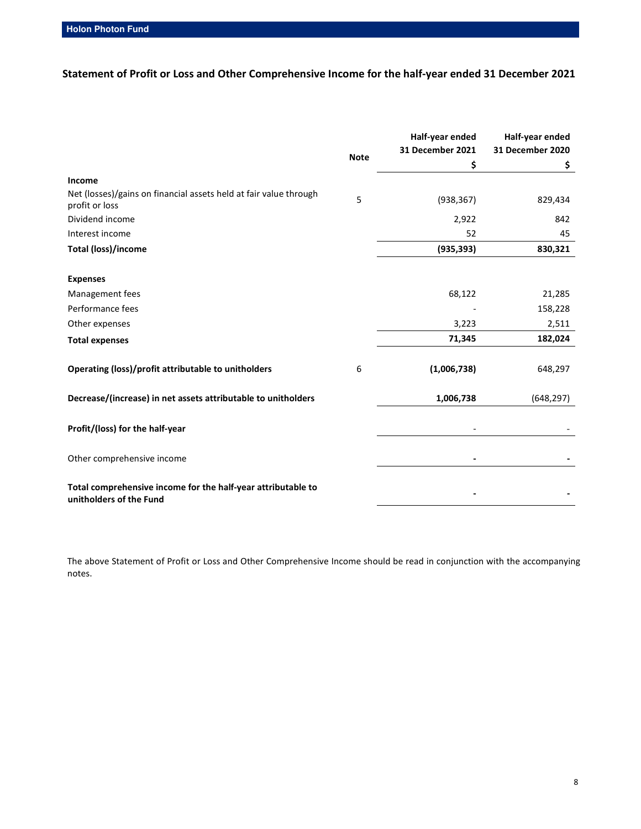**Statement of Profit or Loss and Other Comprehensive Income for the half-year ended 31 December 2021** 

|                                                                                         |             | Half-year ended<br>31 December 2021 | Half-year ended<br>31 December 2020 |
|-----------------------------------------------------------------------------------------|-------------|-------------------------------------|-------------------------------------|
|                                                                                         | <b>Note</b> | \$                                  | \$                                  |
| Income                                                                                  |             |                                     |                                     |
| Net (losses)/gains on financial assets held at fair value through<br>profit or loss     | 5           | (938, 367)                          | 829,434                             |
| Dividend income                                                                         |             | 2,922                               | 842                                 |
| Interest income                                                                         |             | 52                                  | 45                                  |
| <b>Total (loss)/income</b>                                                              |             | (935, 393)                          | 830,321                             |
| <b>Expenses</b>                                                                         |             |                                     |                                     |
| Management fees                                                                         |             | 68,122                              | 21,285                              |
| Performance fees                                                                        |             |                                     | 158,228                             |
| Other expenses                                                                          |             | 3,223                               | 2,511                               |
| <b>Total expenses</b>                                                                   |             | 71,345                              | 182,024                             |
| Operating (loss)/profit attributable to unitholders                                     | 6           | (1,006,738)                         | 648,297                             |
| Decrease/(increase) in net assets attributable to unitholders                           |             | 1,006,738                           | (648, 297)                          |
| Profit/(loss) for the half-year                                                         |             |                                     |                                     |
| Other comprehensive income                                                              |             |                                     |                                     |
| Total comprehensive income for the half-year attributable to<br>unitholders of the Fund |             |                                     |                                     |

The above Statement of Profit or Loss and Other Comprehensive Income should be read in conjunction with the accompanying notes.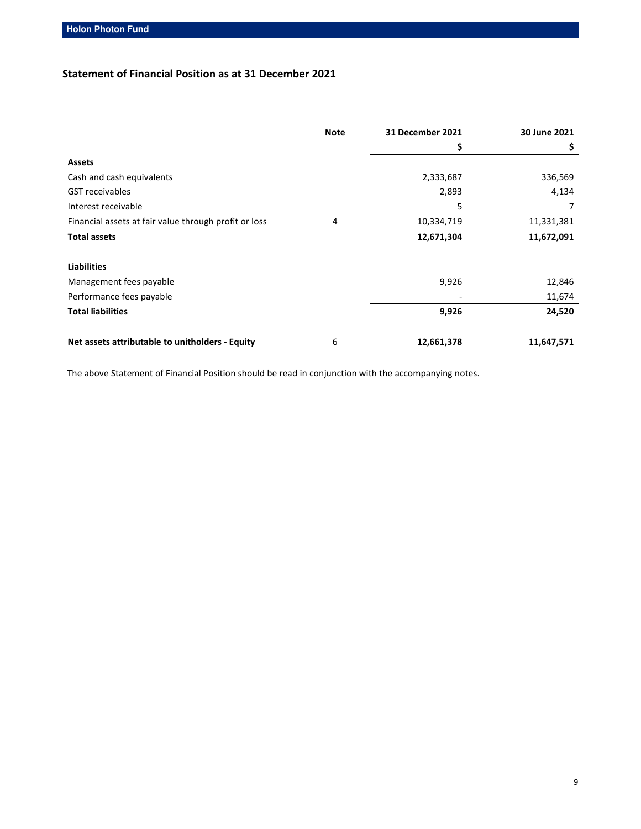# **Statement of Financial Position as at 31 December 2021**

|                                                       | <b>Note</b> | <b>31 December 2021</b> | 30 June 2021 |
|-------------------------------------------------------|-------------|-------------------------|--------------|
|                                                       |             | \$                      | \$           |
| <b>Assets</b>                                         |             |                         |              |
| Cash and cash equivalents                             |             | 2,333,687               | 336,569      |
| <b>GST</b> receivables                                |             | 2,893                   | 4,134        |
| Interest receivable                                   |             | 5                       |              |
| Financial assets at fair value through profit or loss | 4           | 10,334,719              | 11,331,381   |
| <b>Total assets</b>                                   |             | 12,671,304              | 11,672,091   |
| <b>Liabilities</b>                                    |             |                         |              |
| Management fees payable                               |             | 9,926                   | 12,846       |
| Performance fees payable                              |             |                         | 11,674       |
| <b>Total liabilities</b>                              |             | 9,926                   | 24,520       |
| Net assets attributable to unitholders - Equity       | 6           | 12,661,378              | 11,647,571   |

The above Statement of Financial Position should be read in conjunction with the accompanying notes.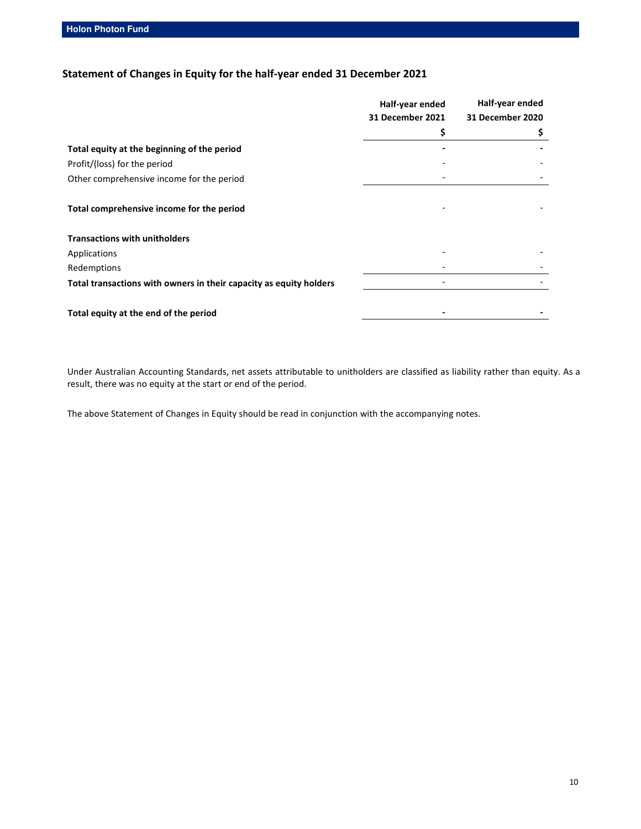**Holon Photon Fund** 

# **Statement of Changes in Equity for the half-year ended 31 December 2021**

|                                                                    | Half-year ended         | Half-year ended  |
|--------------------------------------------------------------------|-------------------------|------------------|
|                                                                    | <b>31 December 2021</b> | 31 December 2020 |
|                                                                    | \$                      | \$               |
| Total equity at the beginning of the period                        |                         |                  |
| Profit/(loss) for the period                                       |                         |                  |
| Other comprehensive income for the period                          |                         |                  |
| Total comprehensive income for the period                          |                         |                  |
| <b>Transactions with unitholders</b>                               |                         |                  |
| Applications                                                       |                         |                  |
| Redemptions                                                        |                         |                  |
| Total transactions with owners in their capacity as equity holders |                         |                  |
|                                                                    |                         |                  |
| Total equity at the end of the period                              |                         |                  |

Under Australian Accounting Standards, net assets attributable to unitholders are classified as liability rather than equity. As a result, there was no equity at the start or end of the period.

The above Statement of Changes in Equity should be read in conjunction with the accompanying notes.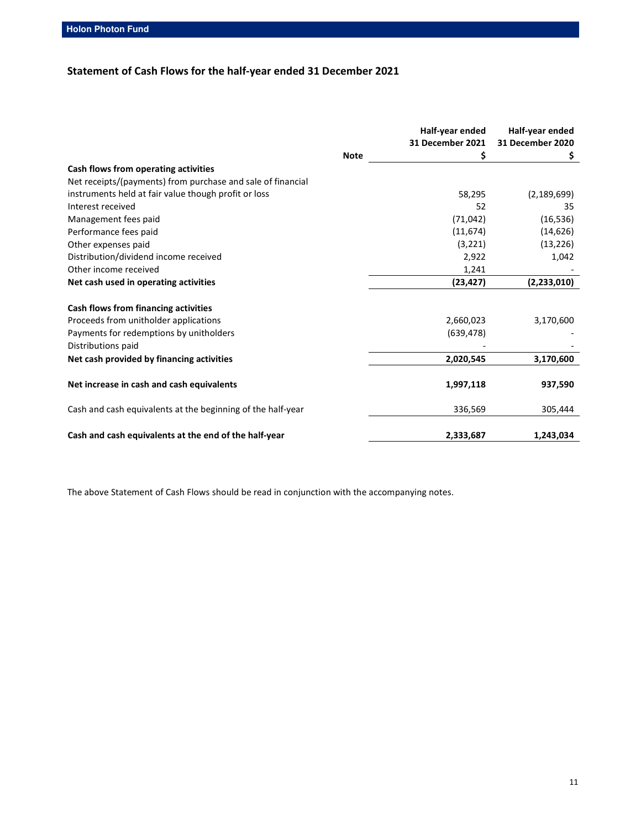# **Statement of Cash Flows for the half-year ended 31 December 2021**

|                                                             |             | Half-year ended  | Half-year ended         |
|-------------------------------------------------------------|-------------|------------------|-------------------------|
|                                                             |             | 31 December 2021 | <b>31 December 2020</b> |
|                                                             | <b>Note</b> | \$               | Ş.                      |
| Cash flows from operating activities                        |             |                  |                         |
| Net receipts/(payments) from purchase and sale of financial |             |                  |                         |
| instruments held at fair value though profit or loss        |             | 58,295           | (2, 189, 699)           |
| Interest received                                           |             | 52               | 35                      |
| Management fees paid                                        |             | (71, 042)        | (16, 536)               |
| Performance fees paid                                       |             | (11, 674)        | (14, 626)               |
| Other expenses paid                                         |             | (3, 221)         | (13, 226)               |
| Distribution/dividend income received                       |             | 2,922            | 1,042                   |
| Other income received                                       |             | 1,241            |                         |
| Net cash used in operating activities                       |             | (23, 427)        | (2, 233, 010)           |
| Cash flows from financing activities                        |             |                  |                         |
| Proceeds from unitholder applications                       |             | 2,660,023        | 3,170,600               |
| Payments for redemptions by unitholders                     |             | (639, 478)       |                         |
| Distributions paid                                          |             |                  |                         |
| Net cash provided by financing activities                   |             | 2,020,545        | 3,170,600               |
| Net increase in cash and cash equivalents                   |             | 1,997,118        | 937,590                 |
| Cash and cash equivalents at the beginning of the half-year |             | 336,569          | 305,444                 |
| Cash and cash equivalents at the end of the half-year       |             | 2,333,687        | 1,243,034               |

The above Statement of Cash Flows should be read in conjunction with the accompanying notes.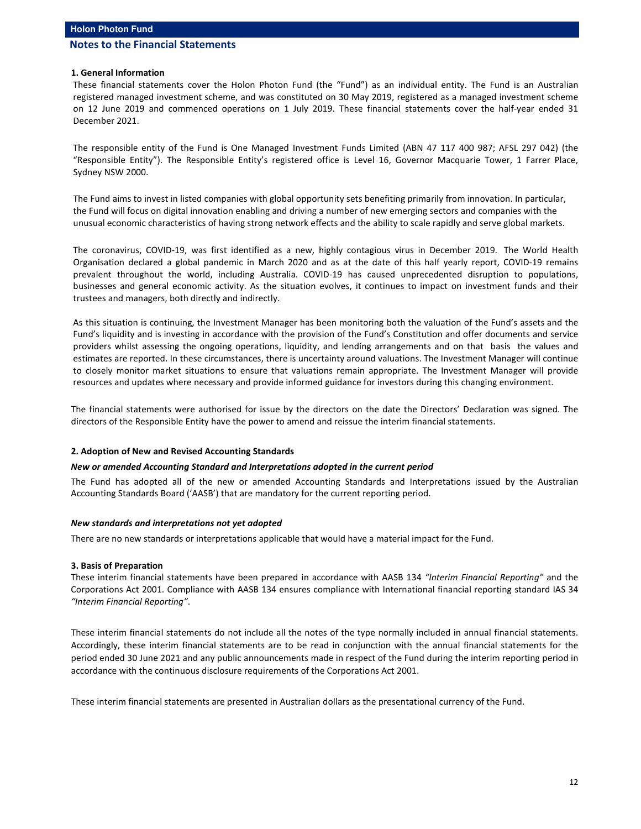#### **1. General Information**

These financial statements cover the Holon Photon Fund (the "Fund") as an individual entity. The Fund is an Australian registered managed investment scheme, and was constituted on 30 May 2019, registered as a managed investment scheme on 12 June 2019 and commenced operations on 1 July 2019. These financial statements cover the half-year ended 31 December 2021.

The responsible entity of the Fund is One Managed Investment Funds Limited (ABN 47 117 400 987; AFSL 297 042) (the "Responsible Entity"). The Responsible Entity's registered office is Level 16, Governor Macquarie Tower, 1 Farrer Place, Sydney NSW 2000.

The Fund aims to invest in listed companies with global opportunity sets benefiting primarily from innovation. In particular, the Fund will focus on digital innovation enabling and driving a number of new emerging sectors and companies with the unusual economic characteristics of having strong network effects and the ability to scale rapidly and serve global markets.

The coronavirus, COVID-19, was first identified as a new, highly contagious virus in December 2019. The World Health Organisation declared a global pandemic in March 2020 and as at the date of this half yearly report, COVID-19 remains prevalent throughout the world, including Australia. COVID-19 has caused unprecedented disruption to populations, businesses and general economic activity. As the situation evolves, it continues to impact on investment funds and their trustees and managers, both directly and indirectly.

As this situation is continuing, the Investment Manager has been monitoring both the valuation of the Fund's assets and the Fund's liquidity and is investing in accordance with the provision of the Fund's Constitution and offer documents and service providers whilst assessing the ongoing operations, liquidity, and lending arrangements and on that basis the values and estimates are reported. In these circumstances, there is uncertainty around valuations. The Investment Manager will continue to closely monitor market situations to ensure that valuations remain appropriate. The Investment Manager will provide resources and updates where necessary and provide informed guidance for investors during this changing environment.

The financial statements were authorised for issue by the directors on the date the Directors' Declaration was signed. The directors of the Responsible Entity have the power to amend and reissue the interim financial statements.

#### **2. Adoption of New and Revised Accounting Standards**

#### *New or amended Accounting Standard and Interpretations adopted in the current period*

The Fund has adopted all of the new or amended Accounting Standards and Interpretations issued by the Australian Accounting Standards Board ('AASB') that are mandatory for the current reporting period.

#### *New standards and interpretations not yet adopted*

There are no new standards or interpretations applicable that would have a material impact for the Fund.

#### **3. Basis of Preparation**

These interim financial statements have been prepared in accordance with AASB 134 *"Interim Financial Reporting"* and the Corporations Act 2001. Compliance with AASB 134 ensures compliance with International financial reporting standard IAS 34 *"Interim Financial Reporting"*.

These interim financial statements do not include all the notes of the type normally included in annual financial statements. Accordingly, these interim financial statements are to be read in conjunction with the annual financial statements for the period ended 30 June 2021 and any public announcements made in respect of the Fund during the interim reporting period in accordance with the continuous disclosure requirements of the Corporations Act 2001.

These interim financial statements are presented in Australian dollars as the presentational currency of the Fund.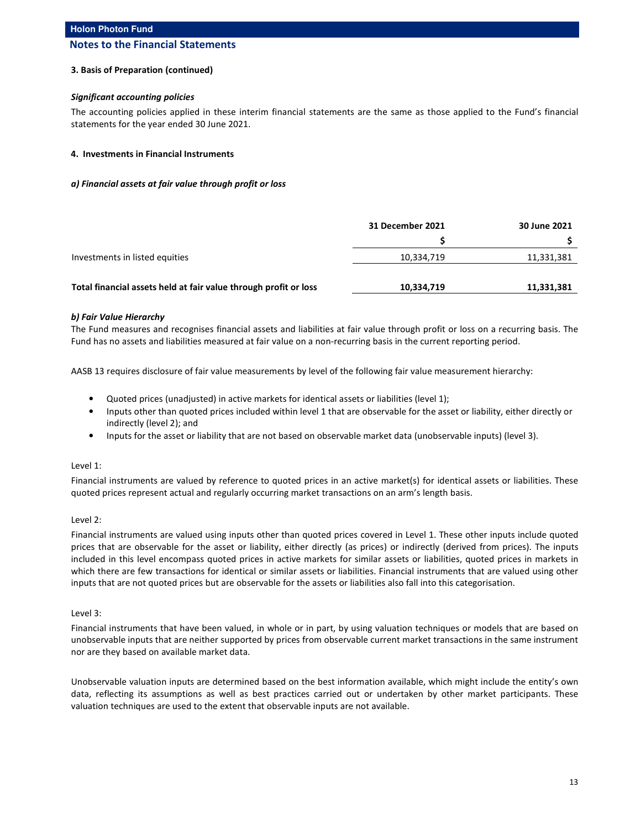#### **3. Basis of Preparation (continued)**

#### *Significant accounting policies*

The accounting policies applied in these interim financial statements are the same as those applied to the Fund's financial statements for the year ended 30 June 2021.

#### **4. Investments in Financial Instruments**

#### *a) Financial assets at fair value through profit or loss*

|                                                                  | 31 December 2021 | 30 June 2021 |
|------------------------------------------------------------------|------------------|--------------|
|                                                                  |                  |              |
| Investments in listed equities                                   | 10,334,719       | 11,331,381   |
| Total financial assets held at fair value through profit or loss | 10,334,719       | 11,331,381   |
|                                                                  |                  |              |

#### *b) Fair Value Hierarchy*

The Fund measures and recognises financial assets and liabilities at fair value through profit or loss on a recurring basis. The Fund has no assets and liabilities measured at fair value on a non-recurring basis in the current reporting period.

AASB 13 requires disclosure of fair value measurements by level of the following fair value measurement hierarchy:

- Quoted prices (unadjusted) in active markets for identical assets or liabilities (level 1);
- Inputs other than quoted prices included within level 1 that are observable for the asset or liability, either directly or indirectly (level 2); and
- Inputs for the asset or liability that are not based on observable market data (unobservable inputs) (level 3).

#### Level 1:

Financial instruments are valued by reference to quoted prices in an active market(s) for identical assets or liabilities. These quoted prices represent actual and regularly occurring market transactions on an arm's length basis.

### Level 2:

Financial instruments are valued using inputs other than quoted prices covered in Level 1. These other inputs include quoted prices that are observable for the asset or liability, either directly (as prices) or indirectly (derived from prices). The inputs included in this level encompass quoted prices in active markets for similar assets or liabilities, quoted prices in markets in which there are few transactions for identical or similar assets or liabilities. Financial instruments that are valued using other inputs that are not quoted prices but are observable for the assets or liabilities also fall into this categorisation.

#### Level 3:

Financial instruments that have been valued, in whole or in part, by using valuation techniques or models that are based on unobservable inputs that are neither supported by prices from observable current market transactions in the same instrument nor are they based on available market data.

Unobservable valuation inputs are determined based on the best information available, which might include the entity's own data, reflecting its assumptions as well as best practices carried out or undertaken by other market participants. These valuation techniques are used to the extent that observable inputs are not available.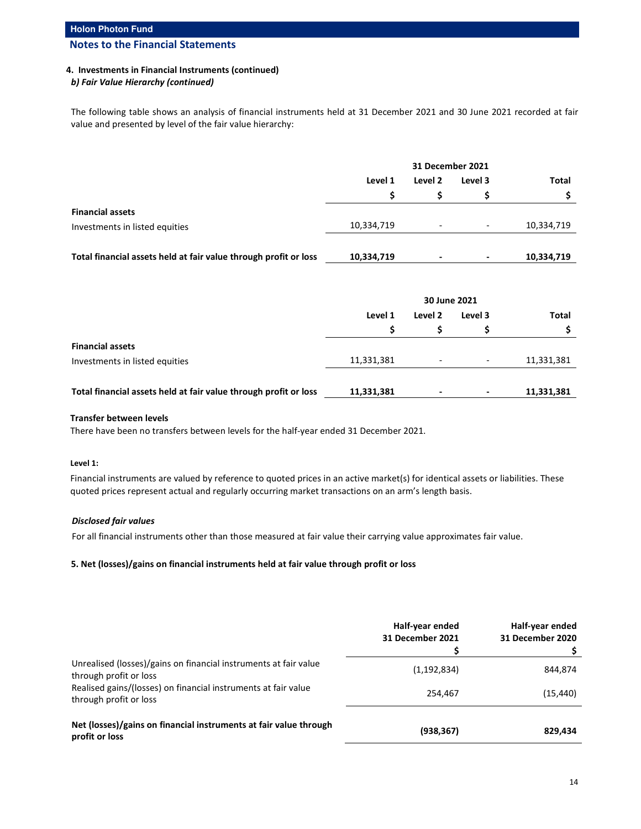### **4. Investments in Financial Instruments (continued)**

### *b) Fair Value Hierarchy (continued)*

The following table shows an analysis of financial instruments held at 31 December 2021 and 30 June 2021 recorded at fair value and presented by level of the fair value hierarchy:

|                                                                  |            | 31 December 2021         |                    |              |
|------------------------------------------------------------------|------------|--------------------------|--------------------|--------------|
|                                                                  | Level 1    |                          | Level 2<br>Level 3 | <b>Total</b> |
|                                                                  | s          |                          |                    |              |
| <b>Financial assets</b>                                          |            |                          |                    |              |
| Investments in listed equities                                   | 10,334,719 | $\overline{\phantom{0}}$ | -                  | 10,334,719   |
| Total financial assets held at fair value through profit or loss | 10,334,719 | $\,$                     | $\,$               | 10,334,719   |

|                                                                  | 30 June 2021 |                          |                          |            |  |  |  |  |  |  |  |  |  |         |         |       |
|------------------------------------------------------------------|--------------|--------------------------|--------------------------|------------|--|--|--|--|--|--|--|--|--|---------|---------|-------|
|                                                                  | Level 1      |                          |                          |            |  |  |  |  |  |  |  |  |  | Level 2 | Level 3 | Total |
|                                                                  |              |                          |                          |            |  |  |  |  |  |  |  |  |  |         |         |       |
| <b>Financial assets</b>                                          |              |                          |                          |            |  |  |  |  |  |  |  |  |  |         |         |       |
| Investments in listed equities                                   | 11,331,381   | $\overline{\phantom{a}}$ | $\overline{\phantom{a}}$ | 11,331,381 |  |  |  |  |  |  |  |  |  |         |         |       |
|                                                                  |              |                          |                          |            |  |  |  |  |  |  |  |  |  |         |         |       |
| Total financial assets held at fair value through profit or loss | 11,331,381   | $\,$ $\,$                | $\blacksquare$           | 11,331,381 |  |  |  |  |  |  |  |  |  |         |         |       |

#### **Transfer between levels**

There have been no transfers between levels for the half-year ended 31 December 2021.

#### **Level 1:**

Financial instruments are valued by reference to quoted prices in an active market(s) for identical assets or liabilities. These quoted prices represent actual and regularly occurring market transactions on an arm's length basis.

### *Disclosed fair values*

For all financial instruments other than those measured at fair value their carrying value approximates fair value.

### **5. Net (losses)/gains on financial instruments held at fair value through profit or loss**

|                                                                                            | Half-year ended<br><b>31 December 2021</b> | Half-year ended<br>31 December 2020 |
|--------------------------------------------------------------------------------------------|--------------------------------------------|-------------------------------------|
| Unrealised (losses)/gains on financial instruments at fair value<br>through profit or loss | (1, 192, 834)                              | 844,874                             |
| Realised gains/(losses) on financial instruments at fair value<br>through profit or loss   | 254.467                                    | (15, 440)                           |
| Net (losses)/gains on financial instruments at fair value through<br>profit or loss        | (938, 367)                                 | 829,434                             |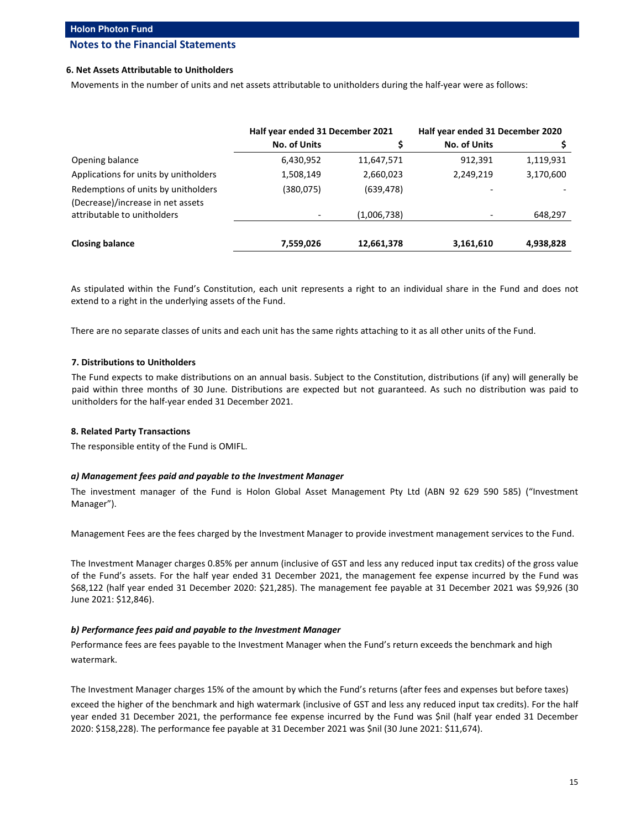#### **6. Net Assets Attributable to Unitholders**

Movements in the number of units and net assets attributable to unitholders during the half-year were as follows:

|                                                                          | Half year ended 31 December 2021 |             | Half year ended 31 December 2020 |           |
|--------------------------------------------------------------------------|----------------------------------|-------------|----------------------------------|-----------|
|                                                                          | <b>No. of Units</b>              |             | <b>No. of Units</b>              |           |
| Opening balance                                                          | 6,430,952                        | 11,647,571  | 912,391                          | 1,119,931 |
| Applications for units by unitholders                                    | 1,508,149                        | 2,660,023   | 2,249,219                        | 3,170,600 |
| Redemptions of units by unitholders<br>(Decrease)/increase in net assets | (380, 075)                       | (639, 478)  |                                  |           |
| attributable to unitholders                                              |                                  | (1,006,738) |                                  | 648,297   |
| <b>Closing balance</b>                                                   | 7,559,026                        | 12,661,378  | 3,161,610                        | 4,938,828 |

As stipulated within the Fund's Constitution, each unit represents a right to an individual share in the Fund and does not extend to a right in the underlying assets of the Fund.

There are no separate classes of units and each unit has the same rights attaching to it as all other units of the Fund.

#### **7. Distributions to Unitholders**

The Fund expects to make distributions on an annual basis. Subject to the Constitution, distributions (if any) will generally be paid within three months of 30 June. Distributions are expected but not guaranteed. As such no distribution was paid to unitholders for the half-year ended 31 December 2021.

#### **8. Related Party Transactions**

The responsible entity of the Fund is OMIFL.

#### *a) Management fees paid and payable to the Investment Manager*

The investment manager of the Fund is Holon Global Asset Management Pty Ltd (ABN 92 629 590 585) ("Investment Manager").

Management Fees are the fees charged by the Investment Manager to provide investment management services to the Fund.

The Investment Manager charges 0.85% per annum (inclusive of GST and less any reduced input tax credits) of the gross value of the Fund's assets. For the half year ended 31 December 2021, the management fee expense incurred by the Fund was \$68,122 (half year ended 31 December 2020: \$21,285). The management fee payable at 31 December 2021 was \$9,926 (30 June 2021: \$12,846).

#### *b) Performance fees paid and payable to the Investment Manager*

Performance fees are fees payable to the Investment Manager when the Fund's return exceeds the benchmark and high watermark.

The Investment Manager charges 15% of the amount by which the Fund's returns (after fees and expenses but before taxes)

exceed the higher of the benchmark and high watermark (inclusive of GST and less any reduced input tax credits). For the half year ended 31 December 2021, the performance fee expense incurred by the Fund was \$nil (half year ended 31 December 2020: \$158,228). The performance fee payable at 31 December 2021 was \$nil (30 June 2021: \$11,674).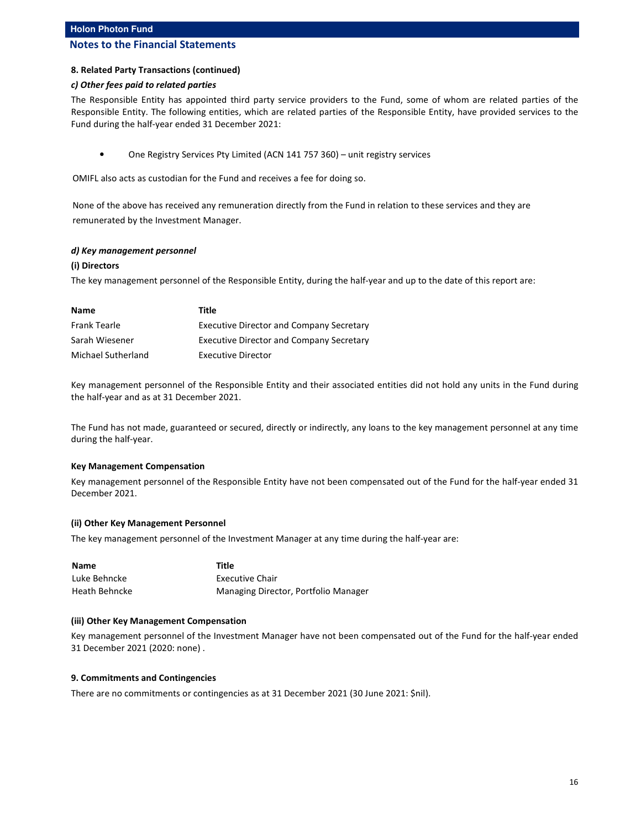# **Holon Photon Fund**

# **Notes to the Financial Statements**

#### **8. Related Party Transactions (continued)**

#### *c) Other fees paid to related parties*

The Responsible Entity has appointed third party service providers to the Fund, some of whom are related parties of the Responsible Entity. The following entities, which are related parties of the Responsible Entity, have provided services to the Fund during the half-year ended 31 December 2021:

• One Registry Services Pty Limited (ACN 141 757 360) – unit registry services

OMIFL also acts as custodian for the Fund and receives a fee for doing so.

None of the above has received any remuneration directly from the Fund in relation to these services and they are remunerated by the Investment Manager.

#### *d) Key management personnel*

#### **(i) Directors**

The key management personnel of the Responsible Entity, during the half-year and up to the date of this report are:

| Name               | Title                                           |
|--------------------|-------------------------------------------------|
| Frank Tearle       | <b>Executive Director and Company Secretary</b> |
| Sarah Wiesener     | <b>Executive Director and Company Secretary</b> |
| Michael Sutherland | <b>Executive Director</b>                       |

Key management personnel of the Responsible Entity and their associated entities did not hold any units in the Fund during the half-year and as at 31 December 2021.

The Fund has not made, guaranteed or secured, directly or indirectly, any loans to the key management personnel at any time during the half-year.

#### **Key Management Compensation**

Key management personnel of the Responsible Entity have not been compensated out of the Fund for the half-year ended 31 December 2021.

### **(ii) Other Key Management Personnel**

The key management personnel of the Investment Manager at any time during the half-year are:

| <b>Name</b>   | Title                                |
|---------------|--------------------------------------|
| Luke Behncke  | <b>Executive Chair</b>               |
| Heath Behncke | Managing Director, Portfolio Manager |

#### **(iii) Other Key Management Compensation**

Key management personnel of the Investment Manager have not been compensated out of the Fund for the half-year ended 31 December 2021 (2020: none) .

#### **9. Commitments and Contingencies**

There are no commitments or contingencies as at 31 December 2021 (30 June 2021: \$nil).